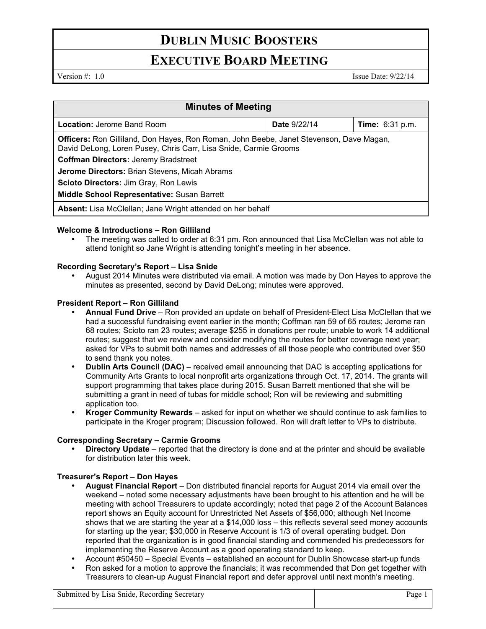# **DUBLIN MUSIC BOOSTERS**

## **EXECUTIVE BOARD MEETING**

Version #: 1.0 Issue Date: 9/22/14

| <b>Minutes of Meeting</b>                                                                                                                                   |                     |                        |
|-------------------------------------------------------------------------------------------------------------------------------------------------------------|---------------------|------------------------|
| <b>Location: Jerome Band Room</b>                                                                                                                           | <b>Date 9/22/14</b> | <b>Time:</b> 6:31 p.m. |
| Officers: Ron Gilliland, Don Hayes, Ron Roman, John Beebe, Janet Stevenson, Dave Magan,<br>David DeLong, Loren Pusey, Chris Carr, Lisa Snide, Carmie Grooms |                     |                        |
| <b>Coffman Directors: Jeremy Bradstreet</b>                                                                                                                 |                     |                        |
| Jerome Directors: Brian Stevens, Micah Abrams                                                                                                               |                     |                        |
| Scioto Directors: Jim Gray, Ron Lewis                                                                                                                       |                     |                        |
| Middle School Representative: Susan Barrett                                                                                                                 |                     |                        |
| Absent: Lisa McClellan; Jane Wright attended on her behalf                                                                                                  |                     |                        |

### **Welcome & Introductions – Ron Gilliland**

• The meeting was called to order at 6:31 pm. Ron announced that Lisa McClellan was not able to attend tonight so Jane Wright is attending tonight's meeting in her absence.

### **Recording Secretary's Report – Lisa Snide**

• August 2014 Minutes were distributed via email. A motion was made by Don Hayes to approve the minutes as presented, second by David DeLong; minutes were approved.

### **President Report – Ron Gilliland**

- **Annual Fund Drive** Ron provided an update on behalf of President-Elect Lisa McClellan that we had a successful fundraising event earlier in the month; Coffman ran 59 of 65 routes; Jerome ran 68 routes; Scioto ran 23 routes; average \$255 in donations per route; unable to work 14 additional routes; suggest that we review and consider modifying the routes for better coverage next year; asked for VPs to submit both names and addresses of all those people who contributed over \$50 to send thank you notes.
- **Dublin Arts Council (DAC)** received email announcing that DAC is accepting applications for Community Arts Grants to local nonprofit arts organizations through Oct. 17, 2014. The grants will support programming that takes place during 2015. Susan Barrett mentioned that she will be submitting a grant in need of tubas for middle school; Ron will be reviewing and submitting application too.
- **Kroger Community Rewards** asked for input on whether we should continue to ask families to participate in the Kroger program; Discussion followed. Ron will draft letter to VPs to distribute.

### **Corresponding Secretary – Carmie Grooms**

• **Directory Update** – reported that the directory is done and at the printer and should be available for distribution later this week.

### **Treasurer's Report – Don Hayes**

- **August Financial Report** Don distributed financial reports for August 2014 via email over the weekend – noted some necessary adjustments have been brought to his attention and he will be meeting with school Treasurers to update accordingly; noted that page 2 of the Account Balances report shows an Equity account for Unrestricted Net Assets of \$56,000; although Net Income shows that we are starting the year at a \$14,000 loss – this reflects several seed money accounts for starting up the year; \$30,000 in Reserve Account is 1/3 of overall operating budget. Don reported that the organization is in good financial standing and commended his predecessors for implementing the Reserve Account as a good operating standard to keep.
- Account #50450 Special Events established an account for Dublin Showcase start-up funds
- Ron asked for a motion to approve the financials; it was recommended that Don get together with Treasurers to clean-up August Financial report and defer approval until next month's meeting.